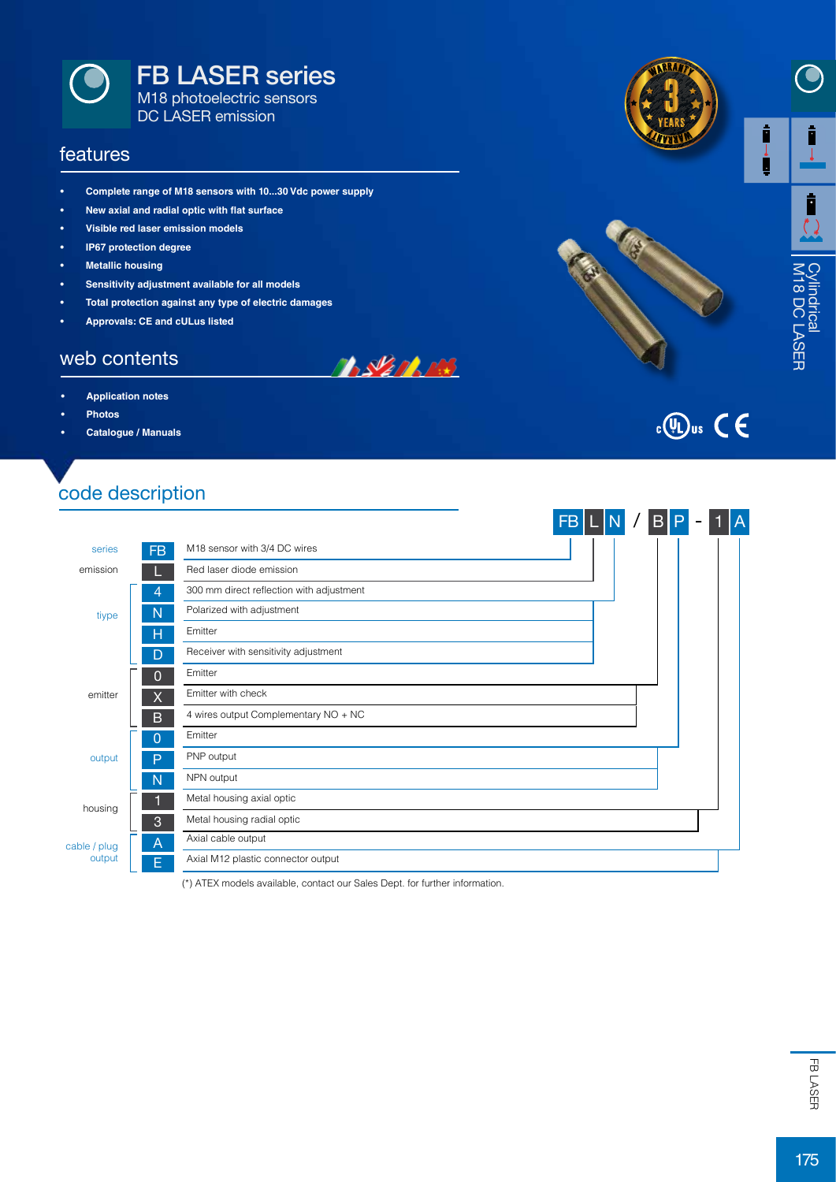

#### features

- **• Complete range of M18 sensors with 10...30 Vdc power supply**
- **• New axial and radial optic with flat surface**
- **• Visible red laser emission models**
- **• IP67 protection degree**
- **• Metallic housing**
- **• Sensitivity adjustment available for all models**
- **• Total protection against any type of electric damages**
- **• Approvals: CE and cULus listed**

#### web contents

- **• Application notes**
- **• Photos**
- **• Catalogue / Manuals**

# code description



**BALLARDER** 

(\*) ATEX models available, contact our Sales Dept. for further information.





Ī

# $\frac{1}{2}$  (VL) us  $\mathsf{C}\in\mathsf{C}$

EB<br>FB<br>175FB<br>175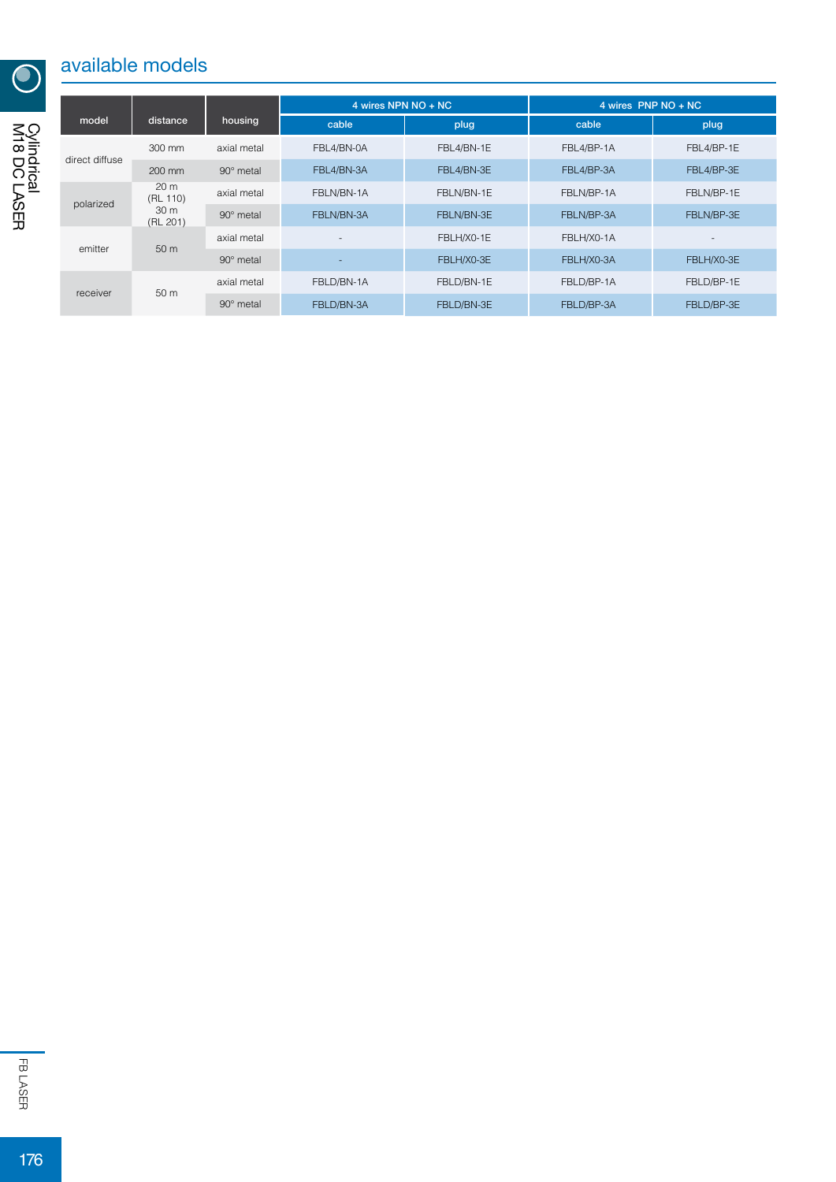# available models

|                |                                                            |                  | 4 wires NPN NO + NC      |            | 4 wires PNP NO + NC |                          |
|----------------|------------------------------------------------------------|------------------|--------------------------|------------|---------------------|--------------------------|
| model          | distance                                                   | housing          | cable                    | plug       | cable               | plug                     |
| direct diffuse | 300 mm                                                     | axial metal      | FBL4/BN-0A               | FBL4/BN-1E | FBL4/BP-1A          | FBL4/BP-1E               |
|                | 200 mm                                                     | $90^\circ$ metal | FBL4/BN-3A               | FBL4/BN-3E | FBL4/BP-3A          | FBL4/BP-3E               |
| polarized      | 20 <sub>m</sub><br>(RL 110)<br>30 <sub>m</sub><br>(RL 201) | axial metal      | FBLN/BN-1A               | FBLN/BN-1E | FBLN/BP-1A          | FBLN/BP-1E               |
|                |                                                            | $90^\circ$ metal | FBLN/BN-3A               | FBLN/BN-3E | FBLN/BP-3A          | FBLN/BP-3E               |
| emitter        | 50 m                                                       | axial metal      | $\overline{\phantom{a}}$ | FBLH/X0-1E | FBLH/X0-1A          | $\overline{\phantom{a}}$ |
|                |                                                            | $90^\circ$ metal |                          | FBLH/X0-3E | FBLH/X0-3A          | FBLH/X0-3E               |
| receiver       | 50 <sub>m</sub>                                            | axial metal      | FBLD/BN-1A               | FBLD/BN-1E | FBLD/BP-1A          | FBLD/BP-1E               |
|                |                                                            | $90^\circ$ metal | FBLD/BN-3A               | FBLD/BN-3E | FBLD/BP-3A          | FBLD/BP-3E               |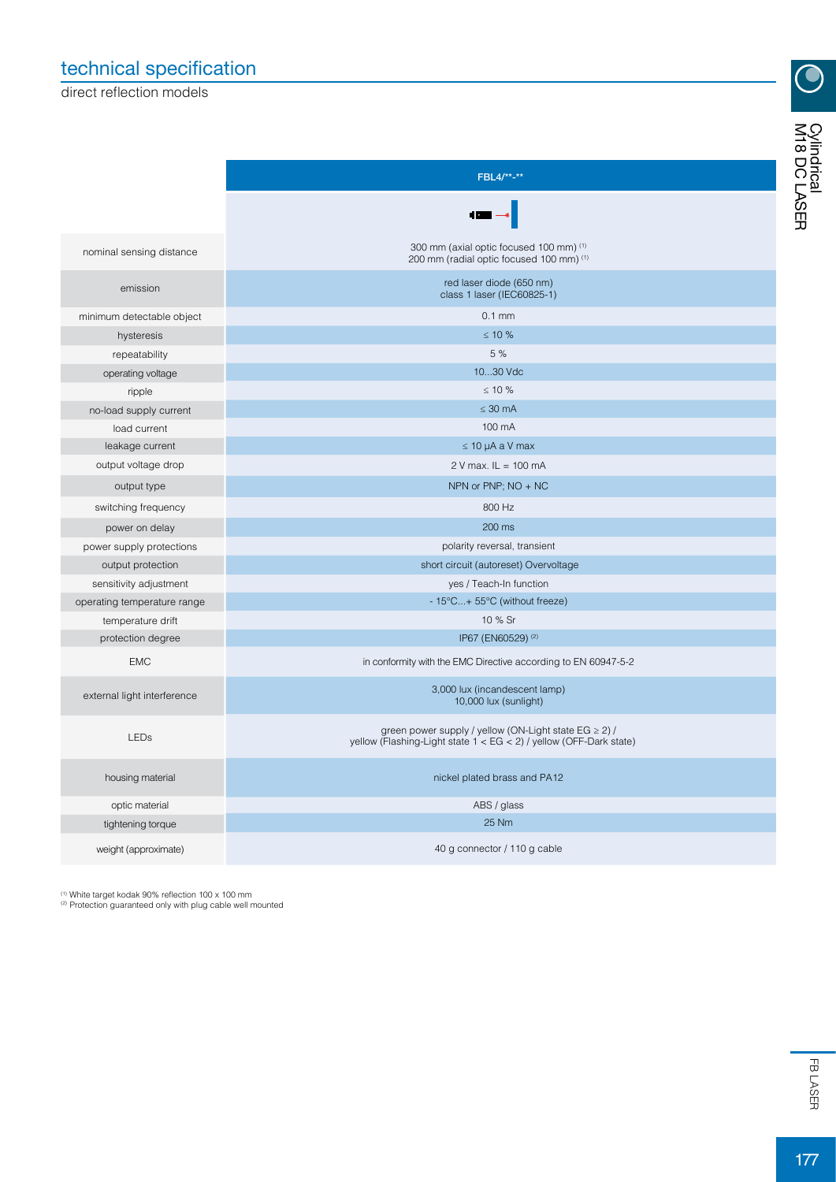## technical specification

direct reflection models

 $\bigodot$ 

|                             | FBL4/**-**                                                                                                                          |  |  |
|-----------------------------|-------------------------------------------------------------------------------------------------------------------------------------|--|--|
|                             |                                                                                                                                     |  |  |
| nominal sensing distance    | 300 mm (axial optic focused 100 mm) (1)<br>200 mm (radial optic focused 100 mm) (1)                                                 |  |  |
| emission                    | red laser diode (650 nm)<br>class 1 laser (IEC60825-1)                                                                              |  |  |
| minimum detectable object   | $0.1$ mm                                                                                                                            |  |  |
| hysteresis                  | $\leq 10 \%$                                                                                                                        |  |  |
| repeatability               | 5 %                                                                                                                                 |  |  |
| operating voltage           | 1030 Vdc                                                                                                                            |  |  |
| ripple                      | $\leq 10 \%$                                                                                                                        |  |  |
| no-load supply current      | $\leq 30$ mA                                                                                                                        |  |  |
| load current                | 100 mA                                                                                                                              |  |  |
| leakage current             | $\leq$ 10 µA a V max                                                                                                                |  |  |
| output voltage drop         | $2 V$ max. $IL = 100$ mA                                                                                                            |  |  |
| output type                 | NPN or PNP; NO + NC                                                                                                                 |  |  |
| switching frequency         | 800 Hz                                                                                                                              |  |  |
| power on delay              | 200 ms                                                                                                                              |  |  |
| power supply protections    | polarity reversal, transient                                                                                                        |  |  |
| output protection           | short circuit (autoreset) Overvoltage                                                                                               |  |  |
| sensitivity adjustment      | yes / Teach-In function                                                                                                             |  |  |
| operating temperature range | - 15°C+ 55°C (without freeze)                                                                                                       |  |  |
| temperature drift           | 10 % Sr                                                                                                                             |  |  |
| protection degree           | IP67 (EN60529) (2)                                                                                                                  |  |  |
| <b>EMC</b>                  | in conformity with the EMC Directive according to EN 60947-5-2                                                                      |  |  |
| external light interference | 3,000 lux (incandescent lamp)<br>10,000 lux (sunlight)                                                                              |  |  |
| <b>LEDs</b>                 | green power supply / yellow (ON-Light state EG $\geq$ 2) /<br>yellow (Flashing-Light state $1 < EG < 2$ ) / yellow (OFF-Dark state) |  |  |
| housing material            | nickel plated brass and PA12                                                                                                        |  |  |
| optic material              | ABS / glass                                                                                                                         |  |  |
| tightening torque           | 25 Nm                                                                                                                               |  |  |
| weight (approximate)        | 40 g connector / 110 g cable                                                                                                        |  |  |

<sup>(1)</sup> White target kodak 90% reflection 100 x 100 mm<br><sup>(2)</sup> Protection guaranteed only with plug cable well mounted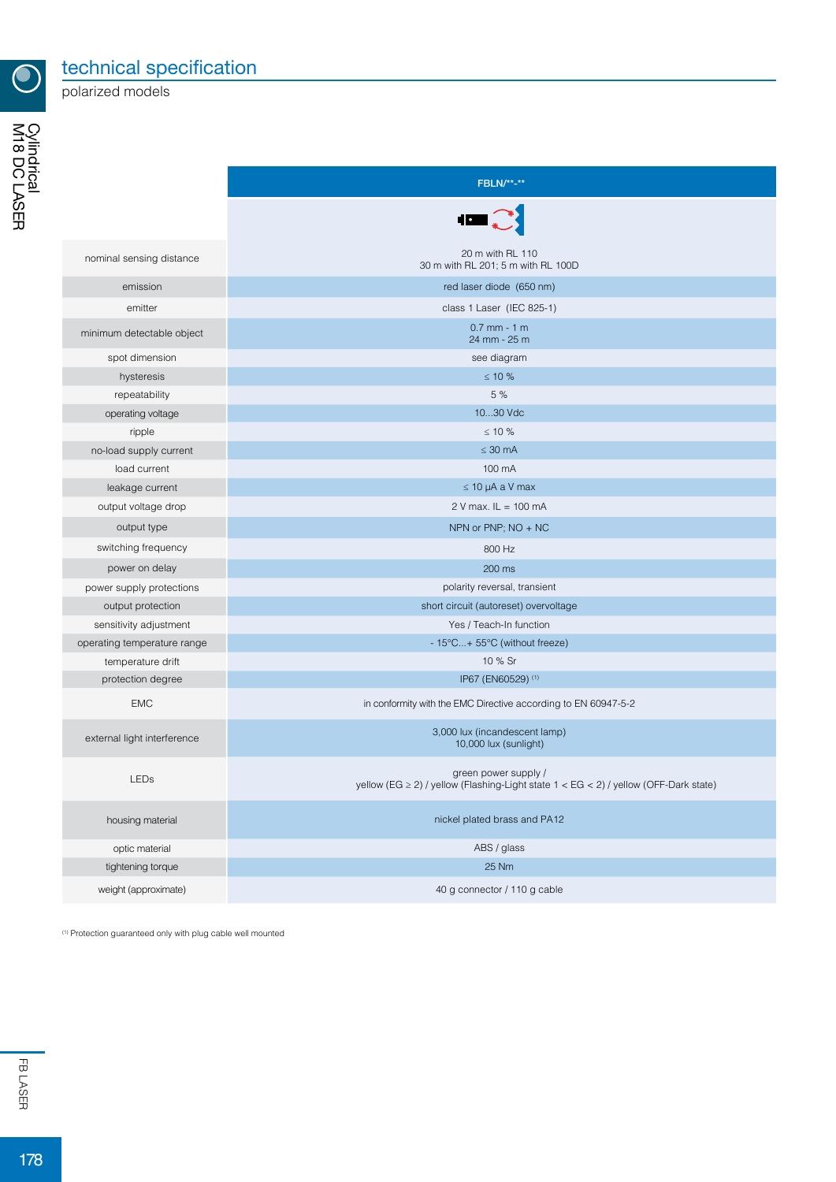

technical specification

polarized models

|                             | <b>FBLN/**-**</b>                                                                                                |  |  |
|-----------------------------|------------------------------------------------------------------------------------------------------------------|--|--|
|                             |                                                                                                                  |  |  |
| nominal sensing distance    | 20 m with RL 110<br>30 m with RL 201; 5 m with RL 100D                                                           |  |  |
| emission                    | red laser diode (650 nm)                                                                                         |  |  |
| emitter                     | class 1 Laser (IEC 825-1)                                                                                        |  |  |
| minimum detectable object   | $0.7$ mm - 1 m<br>24 mm - 25 m                                                                                   |  |  |
| spot dimension              | see diagram                                                                                                      |  |  |
| hysteresis                  | $\leq 10$ %                                                                                                      |  |  |
| repeatability               | 5 %                                                                                                              |  |  |
| operating voltage           | 1030 Vdc                                                                                                         |  |  |
| ripple                      | $\leq 10$ %                                                                                                      |  |  |
| no-load supply current      | $\leq 30$ mA                                                                                                     |  |  |
| load current                | 100 mA                                                                                                           |  |  |
| leakage current             | $\leq 10$ µA a V max                                                                                             |  |  |
| output voltage drop         | $2 V$ max. $IL = 100$ mA                                                                                         |  |  |
| output type                 | NPN or PNP; NO + NC                                                                                              |  |  |
| switching frequency         | 800 Hz                                                                                                           |  |  |
| power on delay              | 200 ms                                                                                                           |  |  |
| power supply protections    | polarity reversal, transient                                                                                     |  |  |
| output protection           | short circuit (autoreset) overvoltage                                                                            |  |  |
| sensitivity adjustment      | Yes / Teach-In function                                                                                          |  |  |
| operating temperature range | - 15°C+ 55°C (without freeze)                                                                                    |  |  |
| temperature drift           | 10 % Sr                                                                                                          |  |  |
| protection degree           | IP67 (EN60529) (1)                                                                                               |  |  |
| <b>EMC</b>                  | in conformity with the EMC Directive according to EN 60947-5-2                                                   |  |  |
| external light interference | 3,000 lux (incandescent lamp)<br>10,000 lux (sunlight)                                                           |  |  |
| <b>LEDs</b>                 | green power supply /<br>yellow (EG $\ge$ 2) / yellow (Flashing-Light state 1 < EG < 2) / yellow (OFF-Dark state) |  |  |
| housing material            | nickel plated brass and PA12                                                                                     |  |  |
| optic material              | ABS / glass                                                                                                      |  |  |
| tightening torque           | 25 Nm                                                                                                            |  |  |
| weight (approximate)        | 40 g connector / 110 g cable                                                                                     |  |  |

(1) Protection guaranteed only with plug cable well mounted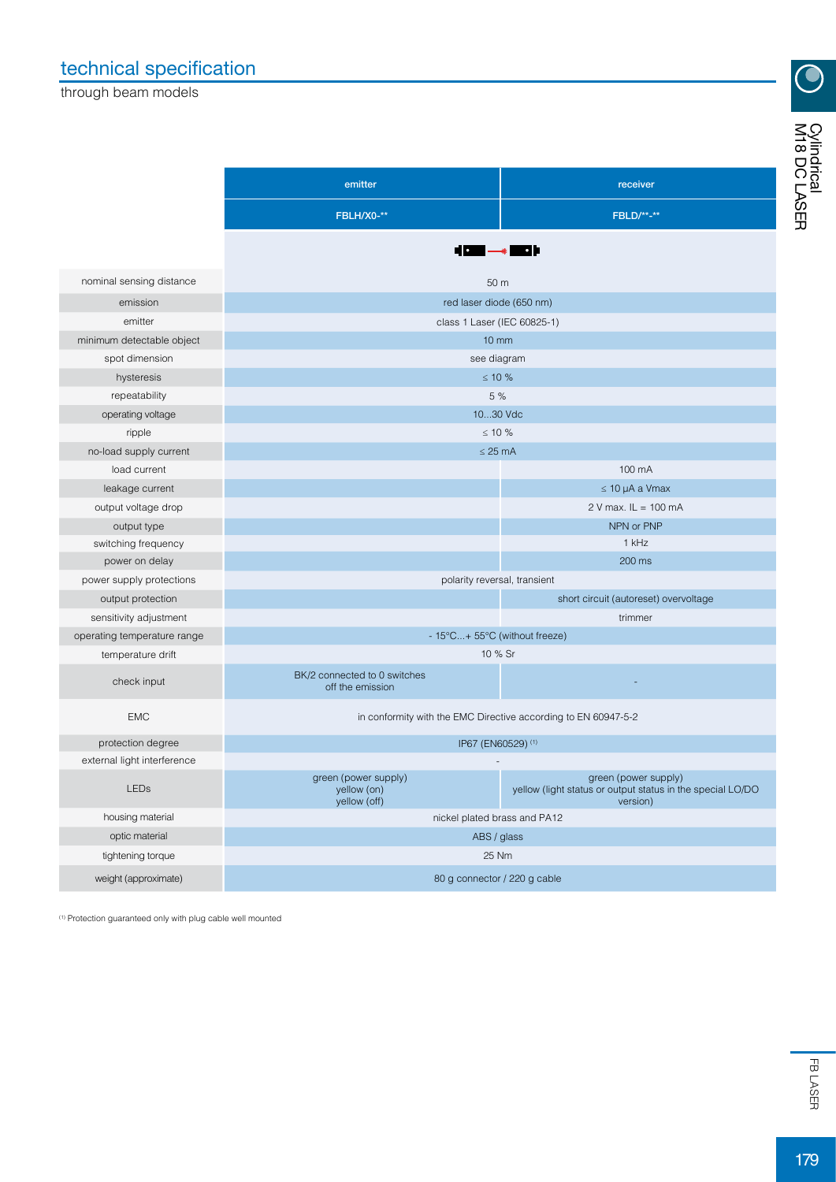## technical specification

through beam models

| t |
|---|

 $\bigodot$ 

|                             | emitter                                                        | receiver                                                                                       |  |  |  |
|-----------------------------|----------------------------------------------------------------|------------------------------------------------------------------------------------------------|--|--|--|
|                             | FBLH/X0-**                                                     | <b>FBLD/**-**</b>                                                                              |  |  |  |
|                             | $\blacksquare$                                                 | - 11                                                                                           |  |  |  |
| nominal sensing distance    | 50 m                                                           |                                                                                                |  |  |  |
| emission                    | red laser diode (650 nm)                                       |                                                                                                |  |  |  |
| emitter                     | class 1 Laser (IEC 60825-1)                                    |                                                                                                |  |  |  |
| minimum detectable object   | $10 \, \text{mm}$                                              |                                                                                                |  |  |  |
| spot dimension              | see diagram                                                    |                                                                                                |  |  |  |
| hysteresis                  | $\leq 10 \%$                                                   |                                                                                                |  |  |  |
| repeatability               | 5 %                                                            |                                                                                                |  |  |  |
| operating voltage           | 1030 Vdc                                                       |                                                                                                |  |  |  |
| ripple                      | $\leq 10 \%$                                                   |                                                                                                |  |  |  |
| no-load supply current      | $\leq$ 25 mA                                                   |                                                                                                |  |  |  |
| load current                |                                                                | 100 mA                                                                                         |  |  |  |
| leakage current             |                                                                | $\leq$ 10 µA a Vmax                                                                            |  |  |  |
| output voltage drop         |                                                                | $2 V$ max. $IL = 100$ mA                                                                       |  |  |  |
| output type                 |                                                                | NPN or PNP                                                                                     |  |  |  |
| switching frequency         |                                                                | 1 kHz                                                                                          |  |  |  |
| power on delay              |                                                                | 200 ms                                                                                         |  |  |  |
| power supply protections    | polarity reversal, transient                                   |                                                                                                |  |  |  |
| output protection           |                                                                | short circuit (autoreset) overvoltage                                                          |  |  |  |
| sensitivity adjustment      |                                                                | trimmer                                                                                        |  |  |  |
| operating temperature range | - 15°C+ 55°C (without freeze)                                  |                                                                                                |  |  |  |
| temperature drift           | 10 % Sr                                                        |                                                                                                |  |  |  |
| check input                 | BK/2 connected to 0 switches<br>off the emission               |                                                                                                |  |  |  |
| <b>EMC</b>                  | in conformity with the EMC Directive according to EN 60947-5-2 |                                                                                                |  |  |  |
| protection degree           | IP67 (EN60529) (1)                                             |                                                                                                |  |  |  |
| external light interference |                                                                |                                                                                                |  |  |  |
| LEDs                        | green (power supply)<br>yellow (on)<br>yellow (off)            | green (power supply)<br>yellow (light status or output status in the special LO/DO<br>version) |  |  |  |
| housing material            | nickel plated brass and PA12                                   |                                                                                                |  |  |  |
| optic material              | ABS / glass                                                    |                                                                                                |  |  |  |
| tightening torque           | 25 Nm                                                          |                                                                                                |  |  |  |
| weight (approximate)        | 80 g connector / 220 g cable                                   |                                                                                                |  |  |  |

(1) Protection guaranteed only with plug cable well mounted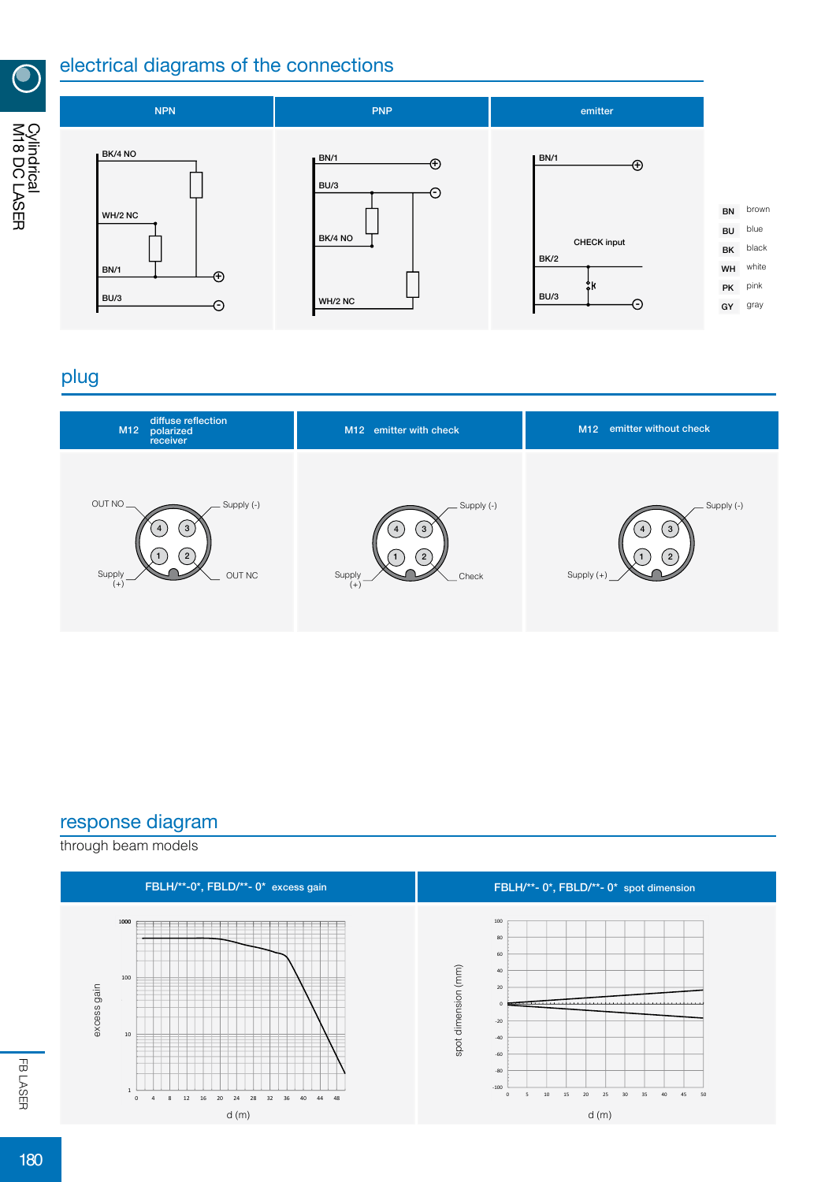

M18 DC LASER Cylindrical<br>M18 DC LASER

#### electrical diagrams of the connections



## plug



#### response diagram

through beam models

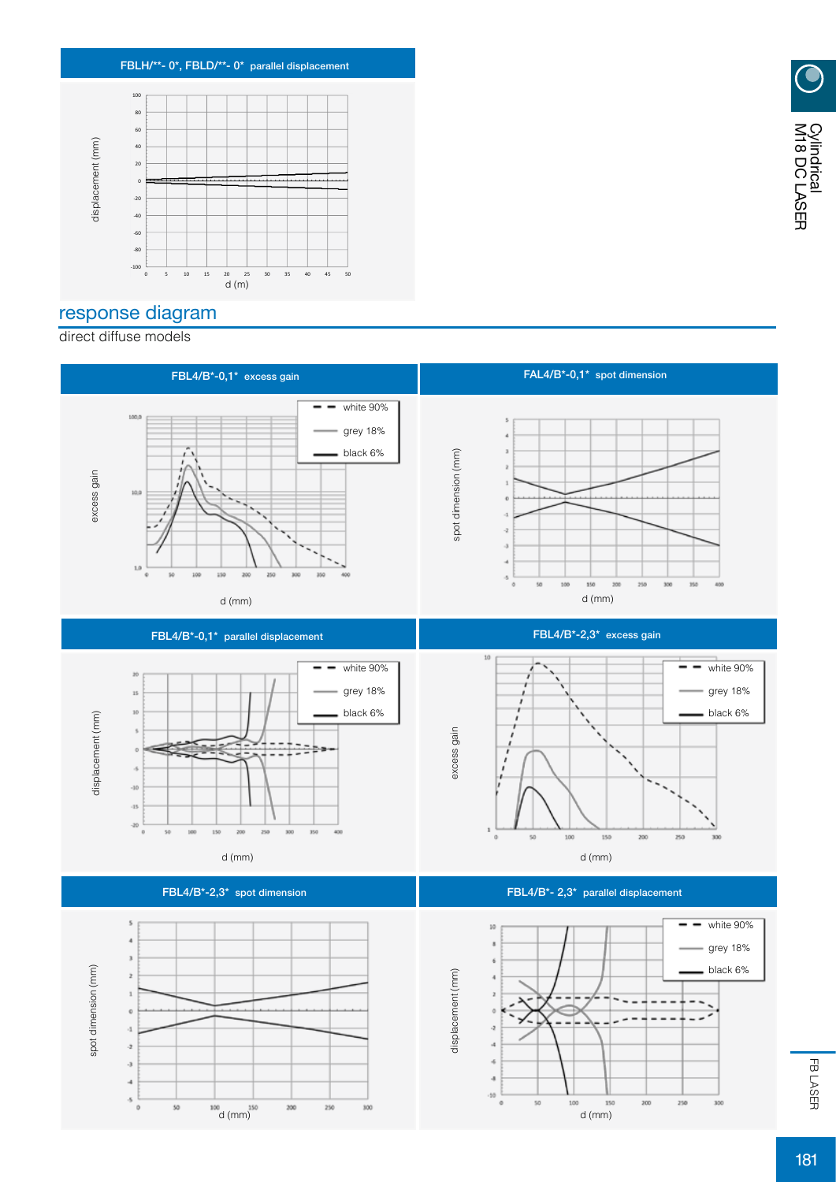

## response diagram

direct diffuse models

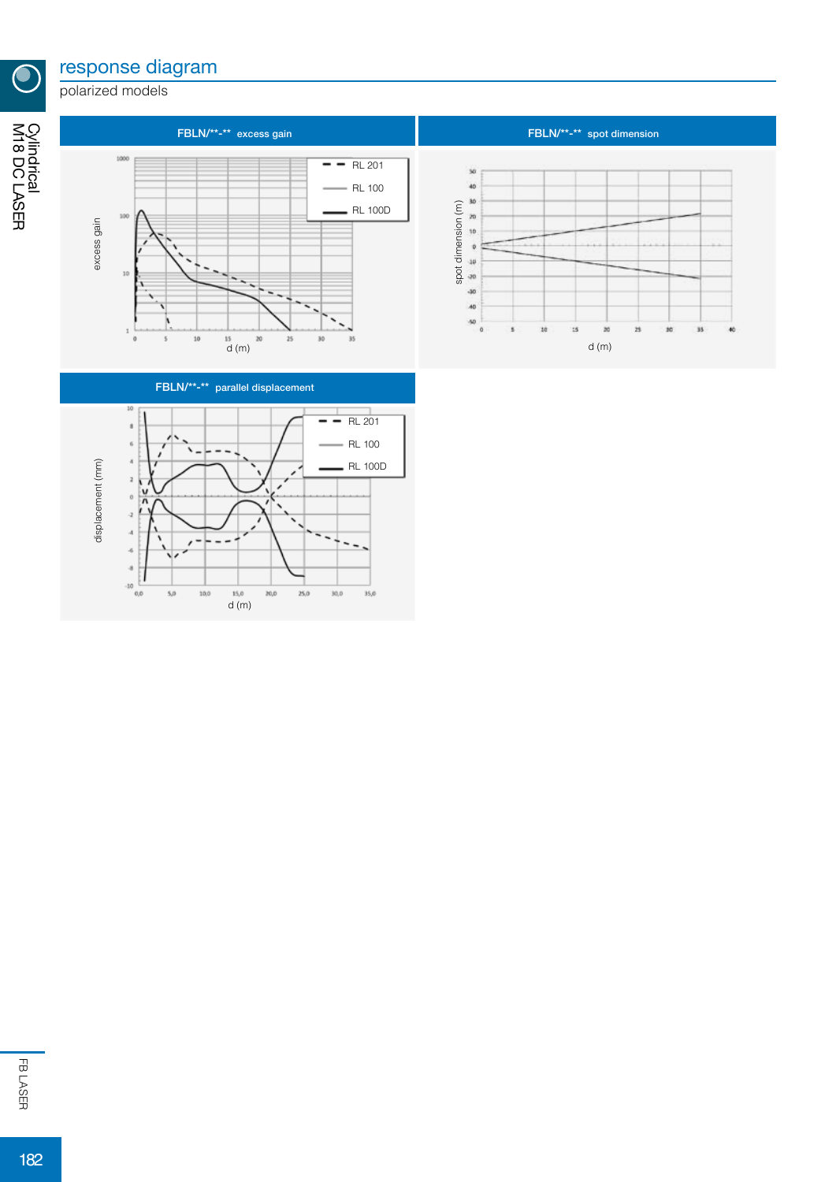## response diagram

polarized models

M18 DC LASER Cylindrical

 $\bullet$ 





FBLN/\*\*-\*\* spot dimension